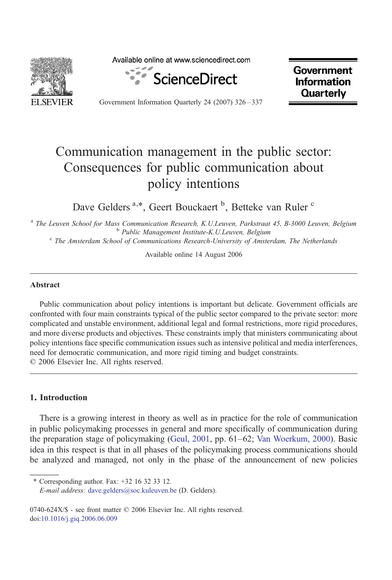

Available online at www.sciencedirect.com



**Government Information Quarterly** 

Government Information Quarterly 24 (2007) 326–337

## Communication management in the public sector: Consequences for public communication about policy intentions

Dave Gelders<sup>a,\*</sup>, Geert Bouckaert <sup>b</sup>, Betteke van Ruler <sup>c</sup>

<sup>a</sup> The Leuven School for Mass Communication Research, K.U.Leuven, Parkstraat 45, B-3000 Leuven, Belgium<br><sup>b</sup> Public Management Institute-K.U.Leuven, Belgium<br><sup>c</sup> The Amsterdam School of Communications Research-University o

Available online 14 August 2006

## Abstract

Public communication about policy intentions is important but delicate. Government officials are confronted with four main constraints typical of the public sector compared to the private sector: more complicated and unstable environment, additional legal and formal restrictions, more rigid procedures, and more diverse products and objectives. These constraints imply that ministers communicating about policy intentions face specific communication issues such as intensive political and media interferences, need for democratic communication, and more rigid timing and budget constraints. © 2006 Elsevier Inc. All rights reserved.

## 1. Introduction

There is a growing interest in theory as well as in practice for the role of communication in public policymaking processes in general and more specifically of communication during the preparation stage of policymaking [\(Geul, 2001](#page--1-0), pp. 61–62; [Van Woerkum, 2000\)](#page--1-0). Basic idea in this respect is that in all phases of the policymaking process communications should be analyzed and managed, not only in the phase of the announcement of new policies

<sup>⁎</sup> Corresponding author. Fax: +32 16 32 33 12. E-mail address: [dave.gelders@soc.kuleuven.be](mailto:dave.�gelders@soc.kuleuven.be) (D. Gelders).

<sup>0740-624</sup>X/\$ - see front matter © 2006 Elsevier Inc. All rights reserved. doi:[10.1016/j.giq.2006.06.009](http://dx.doi.org/10.1016/j.giq.2006.06.009)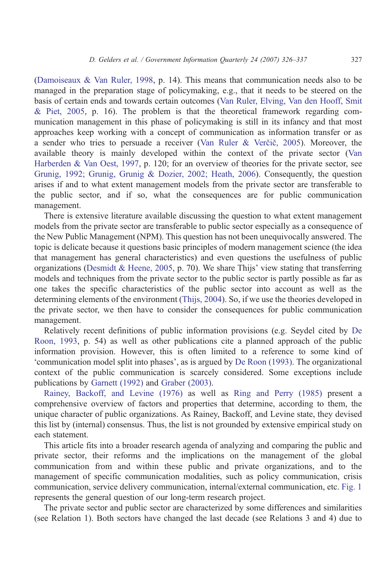[\(Damoiseaux & Van Ruler, 1998,](#page--1-0) p. 14). This means that communication needs also to be managed in the preparation stage of policymaking, e.g., that it needs to be steered on the basis of certain ends and towards certain outcomes ([Van Ruler, Elving, Van den Hooff, Smit](#page--1-0) [& Piet, 2005,](#page--1-0) p. 16). The problem is that the theoretical framework regarding communication management in this phase of policymaking is still in its infancy and that most approaches keep working with a concept of communication as information transfer or as a sender who tries to persuade a receiver [\(Van Ruler & Ver](#page--1-0)čič, 2005). Moreover, the available theory is mainly developed within the context of the private sector [\(Van](#page--1-0) [Harberden & Van Oest, 1997](#page--1-0), p. 120; for an overview of theories for the private sector, see [Grunig, 1992; Grunig, Grunig & Dozier, 2002; Heath, 2006](#page--1-0)). Consequently, the question arises if and to what extent management models from the private sector are transferable to the public sector, and if so, what the consequences are for public communication management.

There is extensive literature available discussing the question to what extent management models from the private sector are transferable to public sector especially as a consequence of the New Public Management (NPM). This question has not been unequivocally answered. The topic is delicate because it questions basic principles of modern management science (the idea that management has general characteristics) and even questions the usefulness of public organizations [\(Desmidt & Heene, 2005](#page--1-0), p. 70). We share Thijs' view stating that transferring models and techniques from the private sector to the public sector is partly possible as far as one takes the specific characteristics of the public sector into account as well as the determining elements of the environment ([Thijs, 2004](#page--1-0)). So, if we use the theories developed in the private sector, we then have to consider the consequences for public communication management.

Relatively recent definitions of public information provisions (e.g. Seydel cited by [De](#page--1-0) [Roon, 1993,](#page--1-0) p. 54) as well as other publications cite a planned approach of the public information provision. However, this is often limited to a reference to some kind of 'communication model split into phases', as is argued by [De Roon \(1993\)](#page--1-0). The organizational context of the public communication is scarcely considered. Some exceptions include publications by [Garnett \(1992\)](#page--1-0) and [Graber \(2003\)](#page--1-0).

[Rainey, Backoff, and Levine \(1976\)](#page--1-0) as well as [Ring and Perry \(1985\)](#page--1-0) present a comprehensive overview of factors and properties that determine, according to them, the unique character of public organizations. As Rainey, Backoff, and Levine state, they devised this list by (internal) consensus. Thus, the list is not grounded by extensive empirical study on each statement.

This article fits into a broader research agenda of analyzing and comparing the public and private sector, their reforms and the implications on the management of the global communication from and within these public and private organizations, and to the management of specific communication modalities, such as policy communication, crisis communication, service delivery communication, internal/external communication, etc. [Fig. 1](#page--1-0) represents the general question of our long-term research project.

The private sector and public sector are characterized by some differences and similarities (see Relation 1). Both sectors have changed the last decade (see Relations 3 and 4) due to